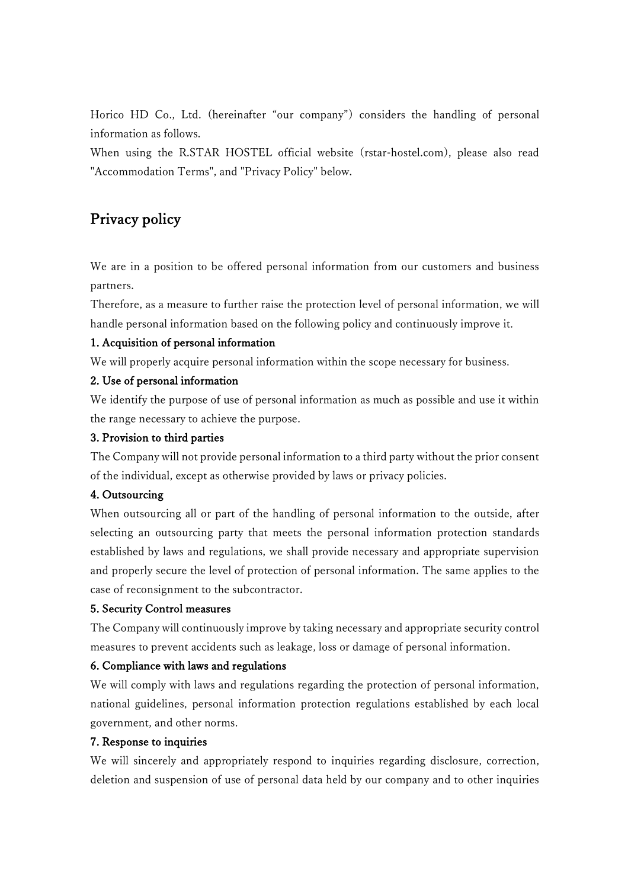Horico HD Co., Ltd. (hereinafter "our company") considers the handling of personal information as follows.

When using the R.STAR HOSTEL official website (rstar-hostel.com), please also read "Accommodation Terms", and "Privacy Policy" below.

# Privacy policy

We are in a position to be offered personal information from our customers and business partners.

Therefore, as a measure to further raise the protection level of personal information, we will handle personal information based on the following policy and continuously improve it.

## 1. Acquisition of personal information

We will properly acquire personal information within the scope necessary for business.

### 2. Use of personal information

We identify the purpose of use of personal information as much as possible and use it within the range necessary to achieve the purpose.

### 3. Provision to third parties

The Company will not provide personal information to a third party without the prior consent of the individual, except as otherwise provided by laws or privacy policies.

### 4. Outsourcing

When outsourcing all or part of the handling of personal information to the outside, after selecting an outsourcing party that meets the personal information protection standards established by laws and regulations, we shall provide necessary and appropriate supervision and properly secure the level of protection of personal information. The same applies to the case of reconsignment to the subcontractor.

### 5. Security Control measures

The Company will continuously improve by taking necessary and appropriate security control measures to prevent accidents such as leakage, loss or damage of personal information.

### 6. Compliance with laws and regulations

We will comply with laws and regulations regarding the protection of personal information, national guidelines, personal information protection regulations established by each local government, and other norms.

### 7. Response to inquiries

We will sincerely and appropriately respond to inquiries regarding disclosure, correction, deletion and suspension of use of personal data held by our company and to other inquiries